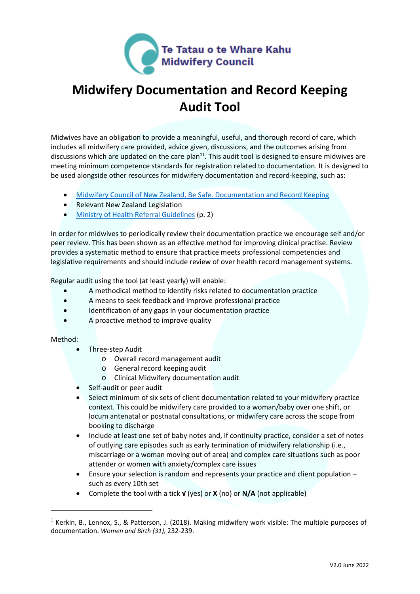

# **Midwifery Documentation and Record Keeping Audit Tool**

Midwives have an obligation to provide a meaningful, useful, and thorough record of care, which includes all midwifery care provided, advice given, discussions, and the outcomes arising from discussions which are updated on the care plan<sup>11</sup>. This audit tool is designed to ensure midwives are meeting minimum competence standards for registration related to documentation. It is designed to be used alongside other resources for midwifery documentation and record-keeping, such as:

- [Midwifery Council of New Zealand, Be Safe. Documentation and Record Keeping](https://www.midwiferycouncil.health.nz/sites/default/files/images/Be%20Safe%204%20Documentation%20%20and%20record%20keeping%20final.pdf)
- Relevant New Zealand Legislation
- [Ministry of Health Referral Guidelines](https://www.health.govt.nz/system/files/documents/publications/referral-glines-jan12.pdf) (p. 2)

In order for midwives to periodically review their documentation practice we encourage self and/or peer review. This has been shown as an effective method for improving clinical practise. Review provides a systematic method to ensure that practice meets professional competencies and legislative requirements and should include review of over health record management systems.

Regular audit using the tool (at least yearly) will enable:

- A methodical method to identify risks related to documentation practice
- A means to seek feedback and improve professional practice
- Identification of any gaps in your documentation practice
- A proactive method to improve quality

#### Method:

- Three-step Audit
	- o Overall record management audit
	- o General record keeping audit
	- o Clinical Midwifery documentation audit
- Self-audit or peer audit
- Select minimum of six sets of client documentation related to your midwifery practice context. This could be midwifery care provided to a woman/baby over one shift, or locum antenatal or postnatal consultations, or midwifery care across the scope from booking to discharge
- Include at least one set of baby notes and, if continuity practice, consider a set of notes of outlying care episodes such as early termination of midwifery relationship (i.e., miscarriage or a woman moving out of area) and complex care situations such as poor attender or women with anxiety/complex care issues
- Ensure your selection is random and represents your practice and client population such as every 10th set
- Complete the tool with a tick **√** (yes) or **X** (no) or **N/A** (not applicable)

<sup>&</sup>lt;sup>1</sup> Kerkin, B., Lennox, S., & Patterson, J. (2018). Making midwifery work visible: The multiple purposes of documentation. *Women and Birth (31),* 232-239.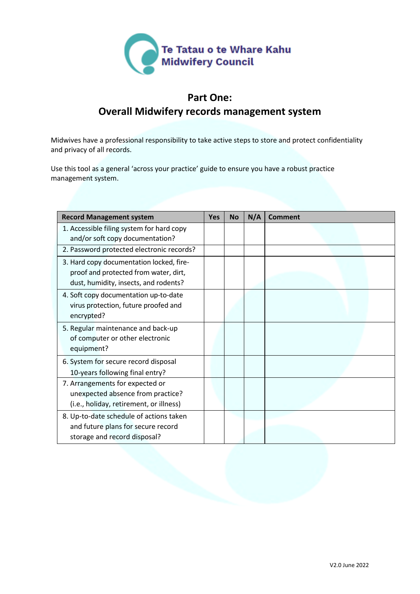

#### **Part One:**

#### **Overall Midwifery records management system**

Midwives have a professional responsibility to take active steps to store and protect confidentiality and privacy of all records.

Use this tool as a general 'across your practice' guide to ensure you have a robust practice management system.

| <b>Record Management system</b>                                                                                            | <b>Yes</b> | <b>No</b> | N/A | Comment |
|----------------------------------------------------------------------------------------------------------------------------|------------|-----------|-----|---------|
| 1. Accessible filing system for hard copy<br>and/or soft copy documentation?                                               |            |           |     |         |
| 2. Password protected electronic records?                                                                                  |            |           |     |         |
| 3. Hard copy documentation locked, fire-<br>proof and protected from water, dirt,<br>dust, humidity, insects, and rodents? |            |           |     |         |
| 4. Soft copy documentation up-to-date<br>virus protection, future proofed and<br>encrypted?                                |            |           |     |         |
| 5. Regular maintenance and back-up<br>of computer or other electronic<br>equipment?                                        |            |           |     |         |
| 6. System for secure record disposal                                                                                       |            |           |     |         |
| 10-years following final entry?                                                                                            |            |           |     |         |
| 7. Arrangements for expected or<br>unexpected absence from practice?<br>(i.e., holiday, retirement, or illness)            |            |           |     |         |
| 8. Up-to-date schedule of actions taken<br>and future plans for secure record<br>storage and record disposal?              |            |           |     |         |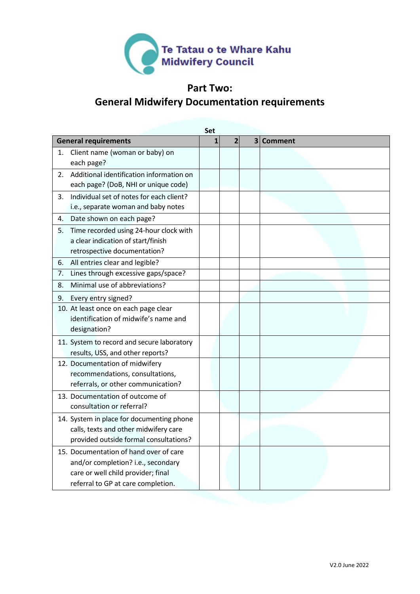

### **Part Two: General Midwifery Documentation requirements**

|    | Set                                                                                                                                                      |   |                |  |           |  |  |
|----|----------------------------------------------------------------------------------------------------------------------------------------------------------|---|----------------|--|-----------|--|--|
|    | <b>General requirements</b>                                                                                                                              | 1 | $\overline{2}$ |  | 3 Comment |  |  |
| 1. | Client name (woman or baby) on<br>each page?                                                                                                             |   |                |  |           |  |  |
| 2. | Additional identification information on<br>each page? (DoB, NHI or unique code)                                                                         |   |                |  |           |  |  |
| 3. | Individual set of notes for each client?<br>i.e., separate woman and baby notes                                                                          |   |                |  |           |  |  |
| 4. | Date shown on each page?                                                                                                                                 |   |                |  |           |  |  |
| 5. | Time recorded using 24-hour clock with<br>a clear indication of start/finish<br>retrospective documentation?                                             |   |                |  |           |  |  |
| 6. | All entries clear and legible?                                                                                                                           |   |                |  |           |  |  |
| 7. | Lines through excessive gaps/space?                                                                                                                      |   |                |  |           |  |  |
| 8. | Minimal use of abbreviations?                                                                                                                            |   |                |  |           |  |  |
| 9. | Every entry signed?                                                                                                                                      |   |                |  |           |  |  |
|    | 10. At least once on each page clear<br>identification of midwife's name and<br>designation?                                                             |   |                |  |           |  |  |
|    | 11. System to record and secure laboratory<br>results, USS, and other reports?                                                                           |   |                |  |           |  |  |
|    | 12. Documentation of midwifery<br>recommendations, consultations,<br>referrals, or other communication?                                                  |   |                |  |           |  |  |
|    | 13. Documentation of outcome of<br>consultation or referral?                                                                                             |   |                |  |           |  |  |
|    | 14. System in place for documenting phone<br>calls, texts and other midwifery care<br>provided outside formal consultations?                             |   |                |  |           |  |  |
|    | 15. Documentation of hand over of care<br>and/or completion? i.e., secondary<br>care or well child provider; final<br>referral to GP at care completion. |   |                |  |           |  |  |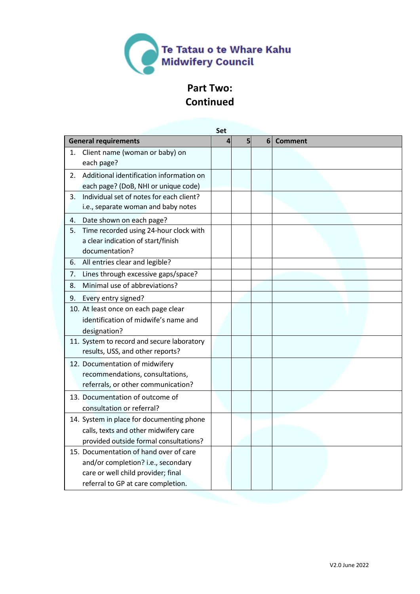

# **Part Two: Continued**

|    |                                                                                                                                                          |   | Set |   |                |  |  |
|----|----------------------------------------------------------------------------------------------------------------------------------------------------------|---|-----|---|----------------|--|--|
|    | <b>General requirements</b>                                                                                                                              | 4 | 5   | 6 | <b>Comment</b> |  |  |
| 1. | Client name (woman or baby) on<br>each page?                                                                                                             |   |     |   |                |  |  |
| 2. | Additional identification information on<br>each page? (DoB, NHI or unique code)                                                                         |   |     |   |                |  |  |
| 3. | Individual set of notes for each client?<br>i.e., separate woman and baby notes                                                                          |   |     |   |                |  |  |
| 4. | Date shown on each page?                                                                                                                                 |   |     |   |                |  |  |
| 5. | Time recorded using 24-hour clock with<br>a clear indication of start/finish<br>documentation?                                                           |   |     |   |                |  |  |
| 6. | All entries clear and legible?                                                                                                                           |   |     |   |                |  |  |
| 7. | Lines through excessive gaps/space?                                                                                                                      |   |     |   |                |  |  |
| 8. | Minimal use of abbreviations?                                                                                                                            |   |     |   |                |  |  |
| 9. | Every entry signed?                                                                                                                                      |   |     |   |                |  |  |
|    | 10. At least once on each page clear<br>identification of midwife's name and<br>designation?                                                             |   |     |   |                |  |  |
|    | 11. System to record and secure laboratory<br>results, USS, and other reports?                                                                           |   |     |   |                |  |  |
|    | 12. Documentation of midwifery<br>recommendations, consultations,<br>referrals, or other communication?                                                  |   |     |   |                |  |  |
|    | 13. Documentation of outcome of<br>consultation or referral?                                                                                             |   |     |   |                |  |  |
|    | 14. System in place for documenting phone<br>calls, texts and other midwifery care<br>provided outside formal consultations?                             |   |     |   |                |  |  |
|    | 15. Documentation of hand over of care<br>and/or completion? i.e., secondary<br>care or well child provider; final<br>referral to GP at care completion. |   |     |   |                |  |  |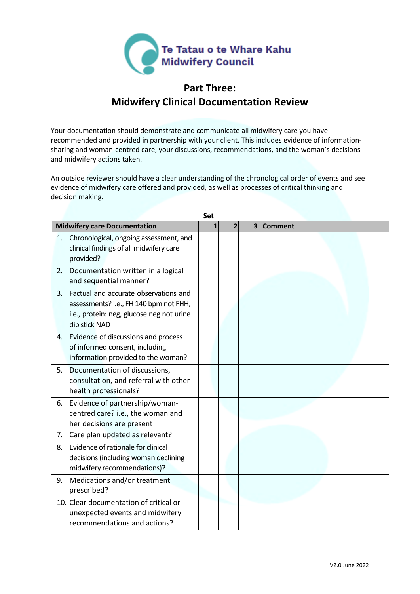

#### **Part Three: Midwifery Clinical Documentation Review**

Your documentation should demonstrate and communicate all midwifery care you have recommended and provided in partnership with your client. This includes evidence of informationsharing and woman-centred care, your discussions, recommendations, and the woman's decisions and midwifery actions taken.

An outside reviewer should have a clear understanding of the chronological order of events and see evidence of midwifery care offered and provided, as well as processes of critical thinking and decision making.

|    | Set                                                                                                                                           |   |                |                         |                |  |
|----|-----------------------------------------------------------------------------------------------------------------------------------------------|---|----------------|-------------------------|----------------|--|
|    | <b>Midwifery care Documentation</b>                                                                                                           | 1 | $\overline{2}$ | $\overline{\mathbf{3}}$ | <b>Comment</b> |  |
| 1. | Chronological, ongoing assessment, and<br>clinical findings of all midwifery care<br>provided?                                                |   |                |                         |                |  |
| 2. | Documentation written in a logical<br>and sequential manner?                                                                                  |   |                |                         |                |  |
| 3. | Factual and accurate observations and<br>assessments? i.e., FH 140 bpm not FHH,<br>i.e., protein: neg, glucose neg not urine<br>dip stick NAD |   |                |                         |                |  |
| 4. | Evidence of discussions and process<br>of informed consent, including<br>information provided to the woman?                                   |   |                |                         |                |  |
| 5. | Documentation of discussions,<br>consultation, and referral with other<br>health professionals?                                               |   |                |                         |                |  |
| 6. | Evidence of partnership/woman-<br>centred care? i.e., the woman and<br>her decisions are present                                              |   |                |                         |                |  |
| 7. | Care plan updated as relevant?                                                                                                                |   |                |                         |                |  |
| 8. | Evidence of rationale for clinical<br>decisions (including woman declining<br>midwifery recommendations)?                                     |   |                |                         |                |  |
| 9. | Medications and/or treatment<br>prescribed?                                                                                                   |   |                |                         |                |  |
|    | 10. Clear documentation of critical or<br>unexpected events and midwifery<br>recommendations and actions?                                     |   |                |                         |                |  |